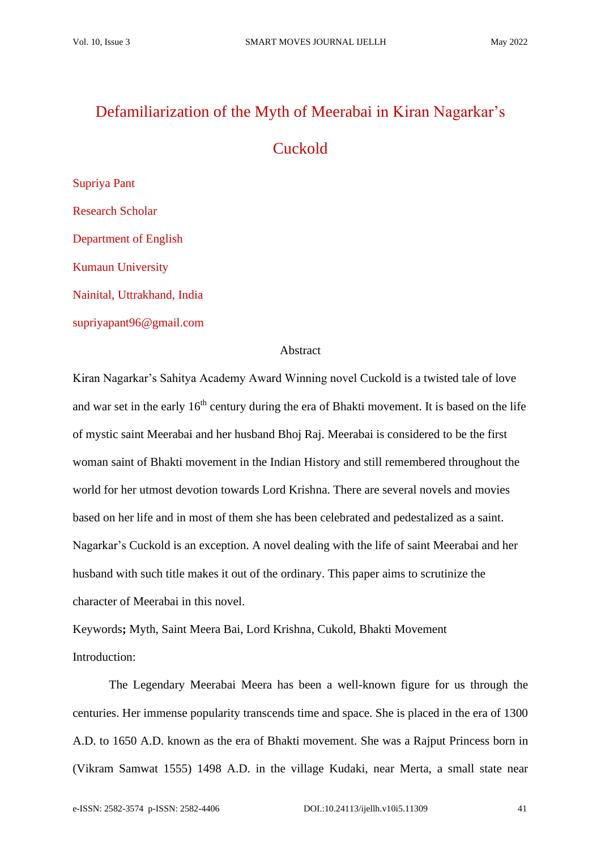# Defamiliarization of the Myth of Meerabai in Kiran Nagarkar's

# Cuckold

Supriya Pant Research Scholar Department of English Kumaun University Nainital, Uttrakhand, India supriyapant96@gmail.com

## Abstract

Kiran Nagarkar's Sahitya Academy Award Winning novel Cuckold is a twisted tale of love and war set in the early 16<sup>th</sup> century during the era of Bhakti movement. It is based on the life of mystic saint Meerabai and her husband Bhoj Raj. Meerabai is considered to be the first woman saint of Bhakti movement in the Indian History and still remembered throughout the world for her utmost devotion towards Lord Krishna. There are several novels and movies based on her life and in most of them she has been celebrated and pedestalized as a saint. Nagarkar's Cuckold is an exception. A novel dealing with the life of saint Meerabai and her husband with such title makes it out of the ordinary. This paper aims to scrutinize the character of Meerabai in this novel.

Keywords**;** Myth, Saint Meera Bai, Lord Krishna, Cukold, Bhakti Movement Introduction:

The Legendary Meerabai Meera has been a well-known figure for us through the centuries. Her immense popularity transcends time and space. She is placed in the era of 1300 A.D. to 1650 A.D. known as the era of Bhakti movement. She was a Rajput Princess born in (Vikram Samwat 1555) 1498 A.D. in the village Kudaki, near Merta, a small state near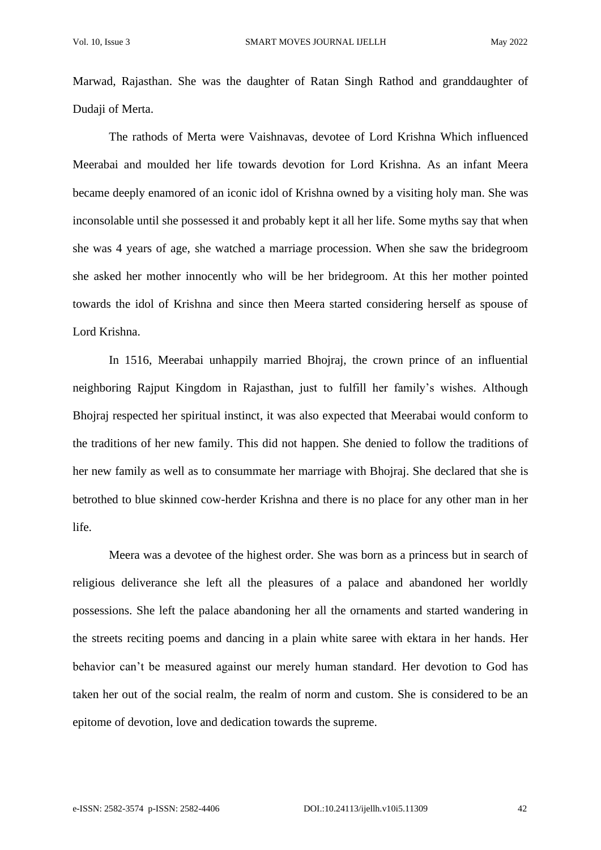Marwad, Rajasthan. She was the daughter of Ratan Singh Rathod and granddaughter of Dudaji of Merta.

The rathods of Merta were Vaishnavas, devotee of Lord Krishna Which influenced Meerabai and moulded her life towards devotion for Lord Krishna. As an infant Meera became deeply enamored of an iconic idol of Krishna owned by a visiting holy man. She was inconsolable until she possessed it and probably kept it all her life. Some myths say that when she was 4 years of age, she watched a marriage procession. When she saw the bridegroom she asked her mother innocently who will be her bridegroom. At this her mother pointed towards the idol of Krishna and since then Meera started considering herself as spouse of Lord Krishna.

In 1516, Meerabai unhappily married Bhojraj, the crown prince of an influential neighboring Rajput Kingdom in Rajasthan, just to fulfill her family's wishes. Although Bhojraj respected her spiritual instinct, it was also expected that Meerabai would conform to the traditions of her new family. This did not happen. She denied to follow the traditions of her new family as well as to consummate her marriage with Bhojraj. She declared that she is betrothed to blue skinned cow-herder Krishna and there is no place for any other man in her life.

Meera was a devotee of the highest order. She was born as a princess but in search of religious deliverance she left all the pleasures of a palace and abandoned her worldly possessions. She left the palace abandoning her all the ornaments and started wandering in the streets reciting poems and dancing in a plain white saree with ektara in her hands. Her behavior can't be measured against our merely human standard. Her devotion to God has taken her out of the social realm, the realm of norm and custom. She is considered to be an epitome of devotion, love and dedication towards the supreme.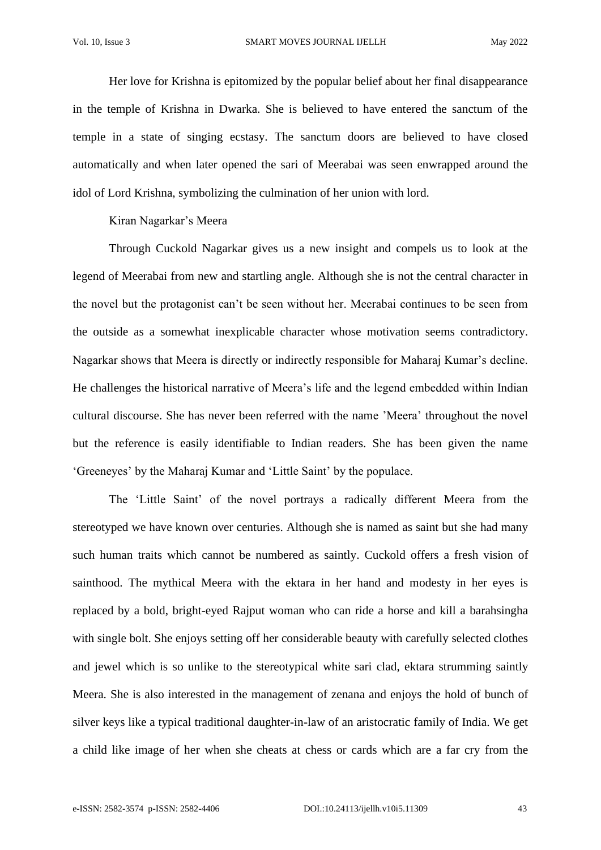Her love for Krishna is epitomized by the popular belief about her final disappearance in the temple of Krishna in Dwarka. She is believed to have entered the sanctum of the temple in a state of singing ecstasy. The sanctum doors are believed to have closed automatically and when later opened the sari of Meerabai was seen enwrapped around the idol of Lord Krishna, symbolizing the culmination of her union with lord.

Kiran Nagarkar's Meera

Through Cuckold Nagarkar gives us a new insight and compels us to look at the legend of Meerabai from new and startling angle. Although she is not the central character in the novel but the protagonist can't be seen without her. Meerabai continues to be seen from the outside as a somewhat inexplicable character whose motivation seems contradictory. Nagarkar shows that Meera is directly or indirectly responsible for Maharaj Kumar's decline. He challenges the historical narrative of Meera's life and the legend embedded within Indian cultural discourse. She has never been referred with the name 'Meera' throughout the novel but the reference is easily identifiable to Indian readers. She has been given the name 'Greeneyes' by the Maharaj Kumar and 'Little Saint' by the populace.

The 'Little Saint' of the novel portrays a radically different Meera from the stereotyped we have known over centuries. Although she is named as saint but she had many such human traits which cannot be numbered as saintly. Cuckold offers a fresh vision of sainthood. The mythical Meera with the ektara in her hand and modesty in her eyes is replaced by a bold, bright-eyed Rajput woman who can ride a horse and kill a barahsingha with single bolt. She enjoys setting off her considerable beauty with carefully selected clothes and jewel which is so unlike to the stereotypical white sari clad, ektara strumming saintly Meera. She is also interested in the management of zenana and enjoys the hold of bunch of silver keys like a typical traditional daughter-in-law of an aristocratic family of India. We get a child like image of her when she cheats at chess or cards which are a far cry from the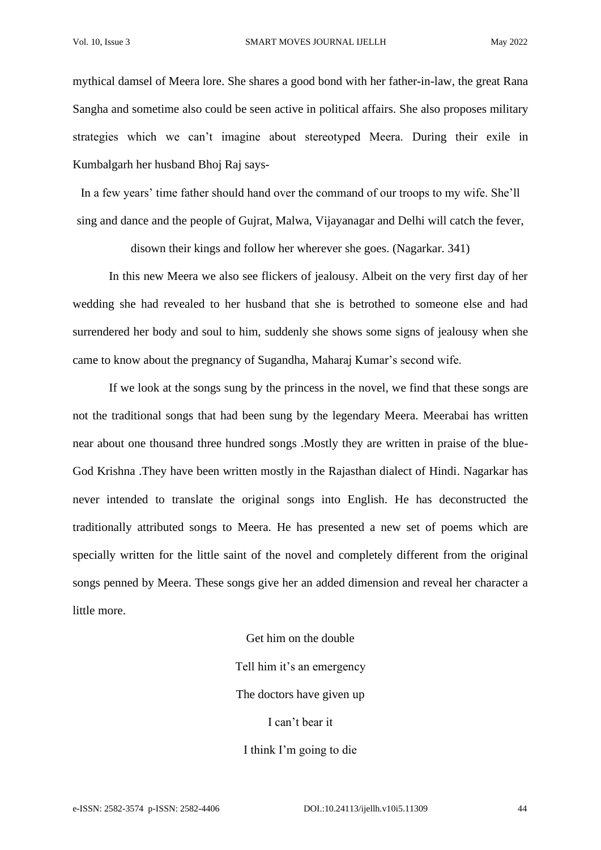mythical damsel of Meera lore. She shares a good bond with her father-in-law, the great Rana Sangha and sometime also could be seen active in political affairs. She also proposes military strategies which we can't imagine about stereotyped Meera. During their exile in Kumbalgarh her husband Bhoj Raj says-

In a few years' time father should hand over the command of our troops to my wife. She'll sing and dance and the people of Gujrat, Malwa, Vijayanagar and Delhi will catch the fever,

disown their kings and follow her wherever she goes. (Nagarkar. 341)

In this new Meera we also see flickers of jealousy. Albeit on the very first day of her wedding she had revealed to her husband that she is betrothed to someone else and had surrendered her body and soul to him, suddenly she shows some signs of jealousy when she came to know about the pregnancy of Sugandha, Maharaj Kumar's second wife.

If we look at the songs sung by the princess in the novel, we find that these songs are not the traditional songs that had been sung by the legendary Meera. Meerabai has written near about one thousand three hundred songs .Mostly they are written in praise of the blue-God Krishna .They have been written mostly in the Rajasthan dialect of Hindi. Nagarkar has never intended to translate the original songs into English. He has deconstructed the traditionally attributed songs to Meera. He has presented a new set of poems which are specially written for the little saint of the novel and completely different from the original songs penned by Meera. These songs give her an added dimension and reveal her character a little more.

> Get him on the double Tell him it's an emergency The doctors have given up I can't bear it I think I'm going to die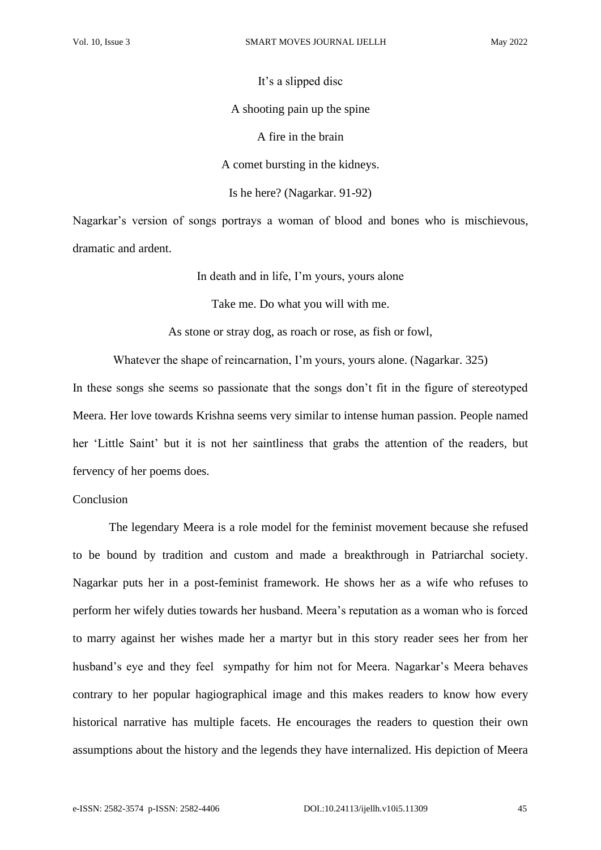It's a slipped disc A shooting pain up the spine A fire in the brain A comet bursting in the kidneys. Is he here? (Nagarkar. 91-92)

Nagarkar's version of songs portrays a woman of blood and bones who is mischievous, dramatic and ardent.

In death and in life, I'm yours, yours alone

Take me. Do what you will with me.

As stone or stray dog, as roach or rose, as fish or fowl,

Whatever the shape of reincarnation, I'm yours, yours alone. (Nagarkar. 325)

In these songs she seems so passionate that the songs don't fit in the figure of stereotyped Meera. Her love towards Krishna seems very similar to intense human passion. People named her 'Little Saint' but it is not her saintliness that grabs the attention of the readers, but fervency of her poems does.

### Conclusion

The legendary Meera is a role model for the feminist movement because she refused to be bound by tradition and custom and made a breakthrough in Patriarchal society. Nagarkar puts her in a post-feminist framework. He shows her as a wife who refuses to perform her wifely duties towards her husband. Meera's reputation as a woman who is forced to marry against her wishes made her a martyr but in this story reader sees her from her husband's eye and they feel sympathy for him not for Meera. Nagarkar's Meera behaves contrary to her popular hagiographical image and this makes readers to know how every historical narrative has multiple facets. He encourages the readers to question their own assumptions about the history and the legends they have internalized. His depiction of Meera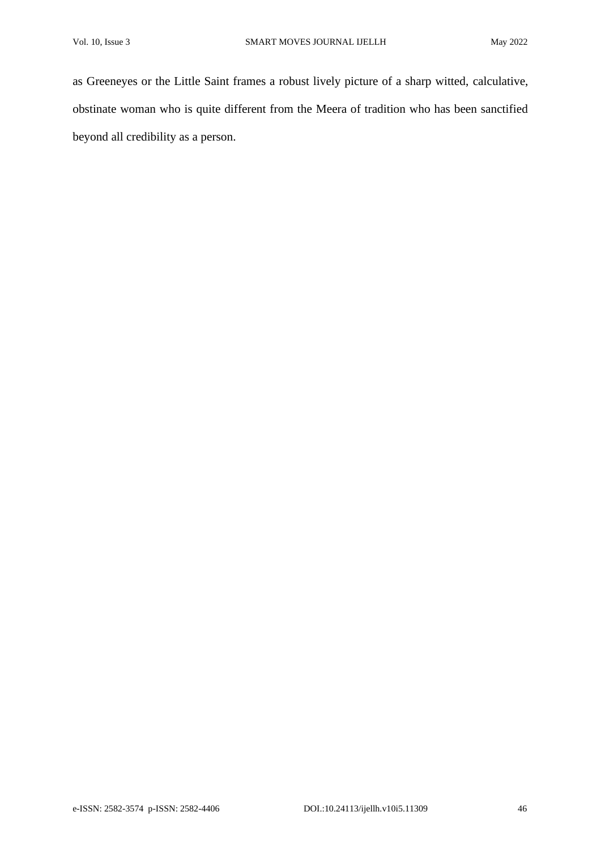as Greeneyes or the Little Saint frames a robust lively picture of a sharp witted, calculative, obstinate woman who is quite different from the Meera of tradition who has been sanctified beyond all credibility as a person.